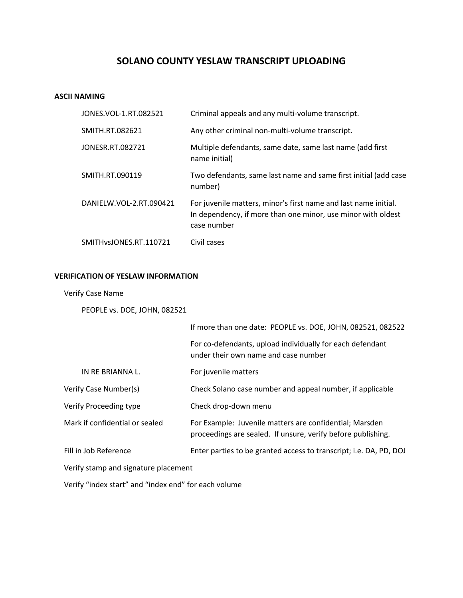# **SOLANO COUNTY YESLAW TRANSCRIPT UPLOADING**

## **ASCII NAMING**

| JONES. VOL-1. RT. 082521 | Criminal appeals and any multi-volume transcript.                                                                                              |
|--------------------------|------------------------------------------------------------------------------------------------------------------------------------------------|
| SMITH.RT.082621          | Any other criminal non-multi-volume transcript.                                                                                                |
| JONESR.RT.082721         | Multiple defendants, same date, same last name (add first<br>name initial)                                                                     |
| SMITH.RT.090119          | Two defendants, same last name and same first initial (add case<br>number)                                                                     |
| DANIELW.VOL-2.RT.090421  | For juvenile matters, minor's first name and last name initial.<br>In dependency, if more than one minor, use minor with oldest<br>case number |
| SMITH VSJONES.RT.110721  | Civil cases                                                                                                                                    |

# **VERIFICATION OF YESLAW INFORMATION**

### Verify Case Name

PEOPLE vs. DOE, JOHN, 082521

|                                      | If more than one date: PEOPLE vs. DOE, JOHN, 082521, 082522                                                             |
|--------------------------------------|-------------------------------------------------------------------------------------------------------------------------|
|                                      | For co-defendants, upload individually for each defendant<br>under their own name and case number                       |
| IN RE BRIANNA L.                     | For juvenile matters                                                                                                    |
| Verify Case Number(s)                | Check Solano case number and appeal number, if applicable                                                               |
| Verify Proceeding type               | Check drop-down menu                                                                                                    |
| Mark if confidential or sealed       | For Example: Juvenile matters are confidential; Marsden<br>proceedings are sealed. If unsure, verify before publishing. |
| Fill in Job Reference                | Enter parties to be granted access to transcript; i.e. DA, PD, DOJ                                                      |
| Verify stamp and signature placement |                                                                                                                         |
|                                      |                                                                                                                         |

Verify "index start" and "index end" for each volume